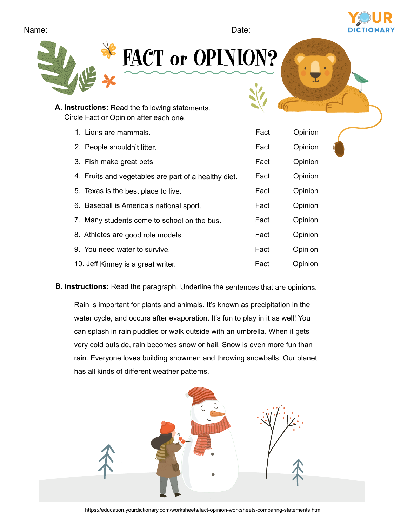Fact

Opinion

| Name: | $\Delta$ ate: |  |
|-------|---------------|--|
|       |               |  |

10. Jeff Kinney is a great writer.

| A. Instructions: Read the following statements.      |      |         |
|------------------------------------------------------|------|---------|
| Circle Fact or Opinion after each one.               |      |         |
| 1. Lions are mammals.                                | Fact | Opinion |
| 2. People shouldn't litter.                          | Fact | Opinion |
| 3. Fish make great pets.                             | Fact | Opinion |
| 4. Fruits and vegetables are part of a healthy diet. | Fact | Opinion |
| 5. Texas is the best place to live.                  | Fact | Opinion |
| 6. Baseball is America's national sport.             | Fact | Opinion |
| 7. Many students come to school on the bus.          | Fact | Opinion |
| 8. Athletes are good role models.                    | Fact | Opinion |
| 9. You need water to survive.                        | Fact | Opinion |

FACT or OPINION?

**B. Instructions:** Read the paragraph. Underline the sentences that are opinions.

Rain is important for plants and animals. It's known as precipitation in the water cycle, and occurs after evaporation. It's fun to play in it as well! You can splash in rain puddles or walk outside with an umbrella. When it gets very cold outside, rain becomes snow or hail. Snow is even more fun than rain. Everyone loves building snowmen and throwing snowballs. Our planet has all kinds of different weather patterns.

https://education.yourdictionary.com/worksheets/fact-opinion-worksheets-comparing-statements.html